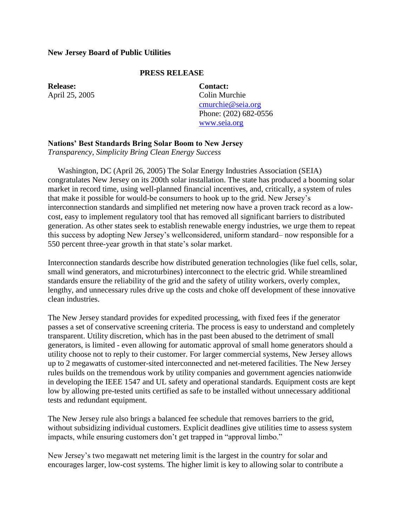## **New Jersey Board of Public Utilities**

## **PRESS RELEASE**

**Release:** April 25, 2005 **Contact:** Colin Murchie [cmurchie@seia.org](mailto:cmurchie@seia.org) Phone: (202) 682-0556 [www.seia.org](http://www.seia.org/)

## **Nations' Best Standards Bring Solar Boom to New Jersey**

*Transparency, Simplicity Bring Clean Energy Success*

 Washington, DC (April 26, 2005) The Solar Energy Industries Association (SEIA) congratulates New Jersey on its 200th solar installation. The state has produced a booming solar market in record time, using well-planned financial incentives, and, critically, a system of rules that make it possible for would-be consumers to hook up to the grid. New Jersey's interconnection standards and simplified net metering now have a proven track record as a lowcost, easy to implement regulatory tool that has removed all significant barriers to distributed generation. As other states seek to establish renewable energy industries, we urge them to repeat this success by adopting New Jersey's wellconsidered, uniform standard– now responsible for a 550 percent three-year growth in that state's solar market.

Interconnection standards describe how distributed generation technologies (like fuel cells, solar, small wind generators, and microturbines) interconnect to the electric grid. While streamlined standards ensure the reliability of the grid and the safety of utility workers, overly complex, lengthy, and unnecessary rules drive up the costs and choke off development of these innovative clean industries.

The New Jersey standard provides for expedited processing, with fixed fees if the generator passes a set of conservative screening criteria. The process is easy to understand and completely transparent. Utility discretion, which has in the past been abused to the detriment of small generators, is limited - even allowing for automatic approval of small home generators should a utility choose not to reply to their customer. For larger commercial systems, New Jersey allows up to 2 megawatts of customer-sited interconnected and net-metered facilities. The New Jersey rules builds on the tremendous work by utility companies and government agencies nationwide in developing the IEEE 1547 and UL safety and operational standards. Equipment costs are kept low by allowing pre-tested units certified as safe to be installed without unnecessary additional tests and redundant equipment.

The New Jersey rule also brings a balanced fee schedule that removes barriers to the grid, without subsidizing individual customers. Explicit deadlines give utilities time to assess system impacts, while ensuring customers don't get trapped in "approval limbo."

New Jersey's two megawatt net metering limit is the largest in the country for solar and encourages larger, low-cost systems. The higher limit is key to allowing solar to contribute a